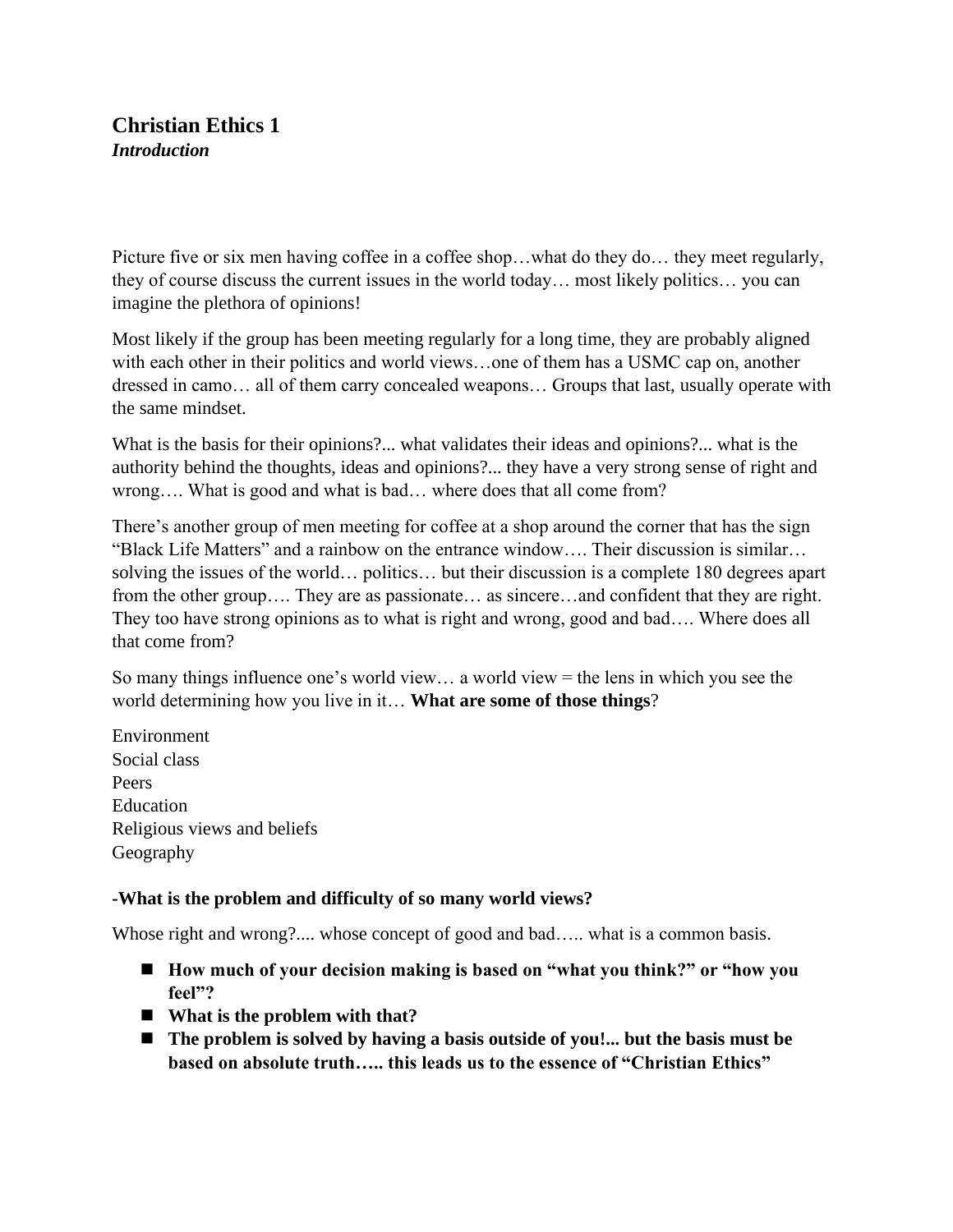# **Christian Ethics 1** *Introduction*

Picture five or six men having coffee in a coffee shop…what do they do… they meet regularly, they of course discuss the current issues in the world today… most likely politics… you can imagine the plethora of opinions!

Most likely if the group has been meeting regularly for a long time, they are probably aligned with each other in their politics and world views…one of them has a USMC cap on, another dressed in camo… all of them carry concealed weapons… Groups that last, usually operate with the same mindset.

What is the basis for their opinions?... what validates their ideas and opinions?... what is the authority behind the thoughts, ideas and opinions?... they have a very strong sense of right and wrong…. What is good and what is bad… where does that all come from?

There's another group of men meeting for coffee at a shop around the corner that has the sign "Black Life Matters" and a rainbow on the entrance window…. Their discussion is similar… solving the issues of the world… politics… but their discussion is a complete 180 degrees apart from the other group…. They are as passionate… as sincere…and confident that they are right. They too have strong opinions as to what is right and wrong, good and bad…. Where does all that come from?

So many things influence one's world view… a world view = the lens in which you see the world determining how you live in it… **What are some of those things**?

Environment Social class Peers Education Religious views and beliefs Geography

# **-What is the problem and difficulty of so many world views?**

Whose right and wrong?.... whose concept of good and bad..... what is a common basis.

- How much of your decision making is based on "what you think?" or "how you **feel"?**
- What is the problem with that?
- The problem is solved by having a basis outside of you!... but the basis must be **based on absolute truth….. this leads us to the essence of "Christian Ethics"**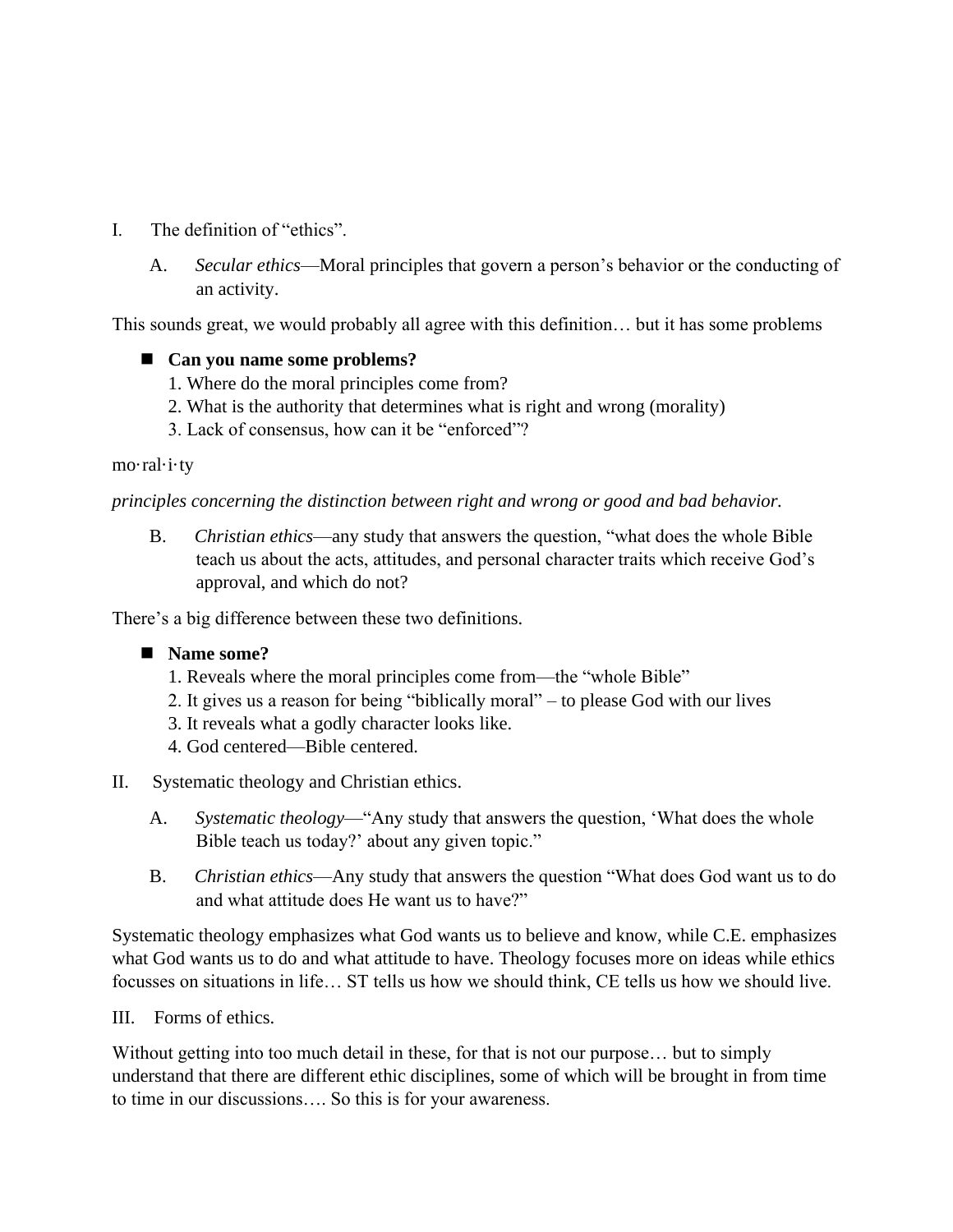- I. The definition of "ethics".
	- A. *Secular ethics*—Moral principles that govern a person's behavior or the conducting of an activity.

This sounds great, we would probably all agree with this definition… but it has some problems

### ■ Can you name some problems?

- 1. Where do the moral principles come from?
- 2. What is the authority that determines what is right and wrong (morality)
- 3. Lack of consensus, how can it be "enforced"?

#### mo·ral·i·ty

#### *principles concerning the distinction between right and wrong or good and bad behavior.*

B. *Christian ethics*—any study that answers the question, "what does the whole Bible teach us about the acts, attitudes, and personal character traits which receive God's approval, and which do not?

There's a big difference between these two definitions.

### ■ Name some?

- 1. Reveals where the moral principles come from—the "whole Bible"
- 2. It gives us a reason for being "biblically moral" to please God with our lives
- 3. It reveals what a godly character looks like.
- 4. God centered—Bible centered.

### II. Systematic theology and Christian ethics.

- A. *Systematic theology*—"Any study that answers the question, 'What does the whole Bible teach us today?' about any given topic."
- B. *Christian ethics*—Any study that answers the question "What does God want us to do and what attitude does He want us to have?"

Systematic theology emphasizes what God wants us to believe and know, while C.E. emphasizes what God wants us to do and what attitude to have. Theology focuses more on ideas while ethics focusses on situations in life… ST tells us how we should think, CE tells us how we should live.

### III. Forms of ethics.

Without getting into too much detail in these, for that is not our purpose… but to simply understand that there are different ethic disciplines, some of which will be brought in from time to time in our discussions…. So this is for your awareness.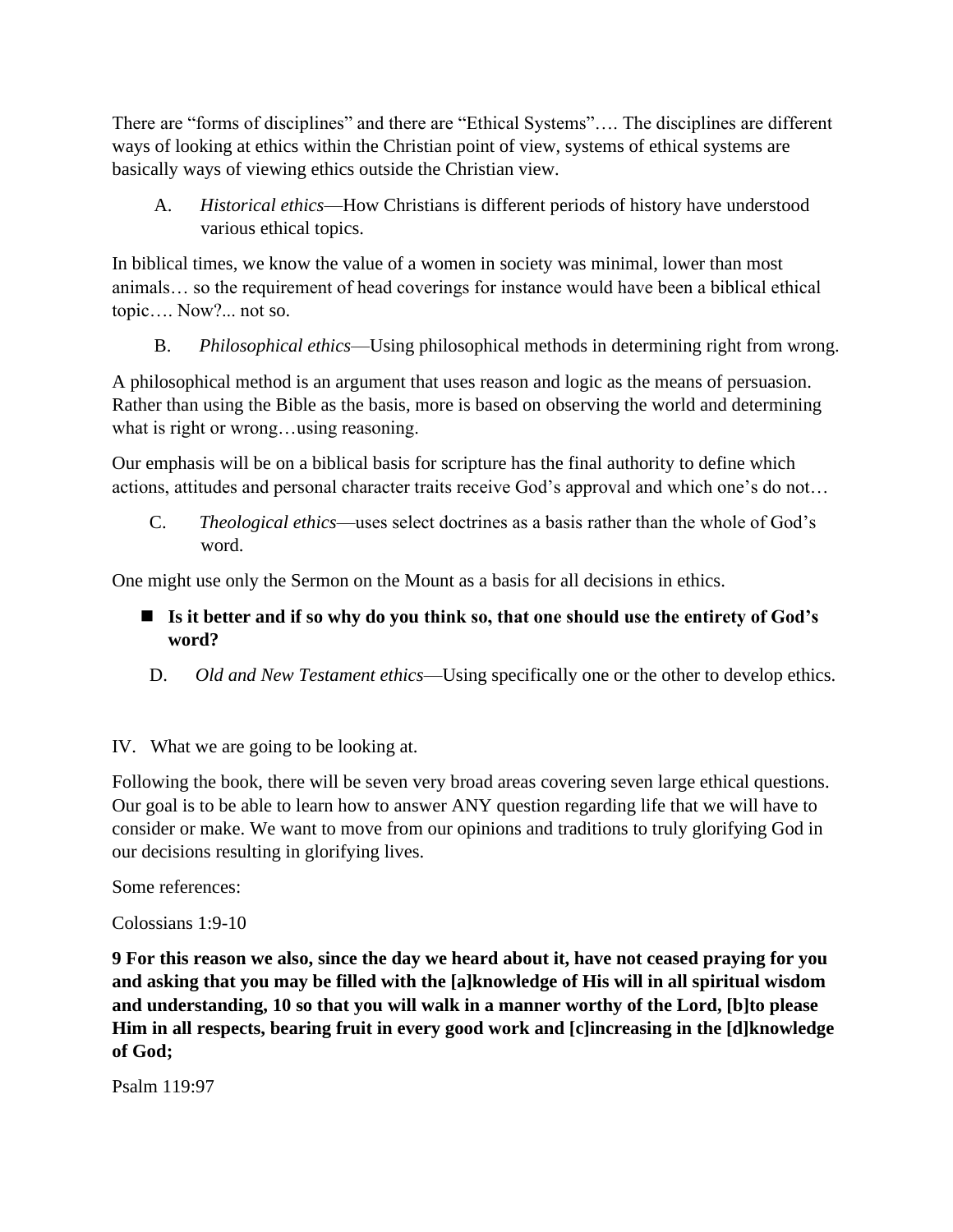There are "forms of disciplines" and there are "Ethical Systems"…. The disciplines are different ways of looking at ethics within the Christian point of view, systems of ethical systems are basically ways of viewing ethics outside the Christian view.

 A. *Historical ethics*—How Christians is different periods of history have understood various ethical topics.

In biblical times, we know the value of a women in society was minimal, lower than most animals… so the requirement of head coverings for instance would have been a biblical ethical topic…. Now?... not so.

B. *Philosophical ethics*—Using philosophical methods in determining right from wrong.

A philosophical method is an argument that uses reason and logic as the means of persuasion. Rather than using the Bible as the basis, more is based on observing the world and determining what is right or wrong…using reasoning.

Our emphasis will be on a biblical basis for scripture has the final authority to define which actions, attitudes and personal character traits receive God's approval and which one's do not…

C. *Theological ethics*—uses select doctrines as a basis rather than the whole of God's word.

One might use only the Sermon on the Mount as a basis for all decisions in ethics.

- Is it better and if so why do you think so, that one should use the entirety of God's **word?**
- D. *Old and New Testament ethics*—Using specifically one or the other to develop ethics.
- IV. What we are going to be looking at.

Following the book, there will be seven very broad areas covering seven large ethical questions. Our goal is to be able to learn how to answer ANY question regarding life that we will have to consider or make. We want to move from our opinions and traditions to truly glorifying God in our decisions resulting in glorifying lives.

Some references:

Colossians 1:9-10

**9 For this reason we also, since the day we heard about it, have not ceased praying for you and asking that you may be filled with the [a]knowledge of His will in all spiritual wisdom and understanding, 10 so that you will walk in a manner worthy of the Lord, [b]to please Him in all respects, bearing fruit in every good work and [c]increasing in the [d]knowledge of God;**

Psalm 119:97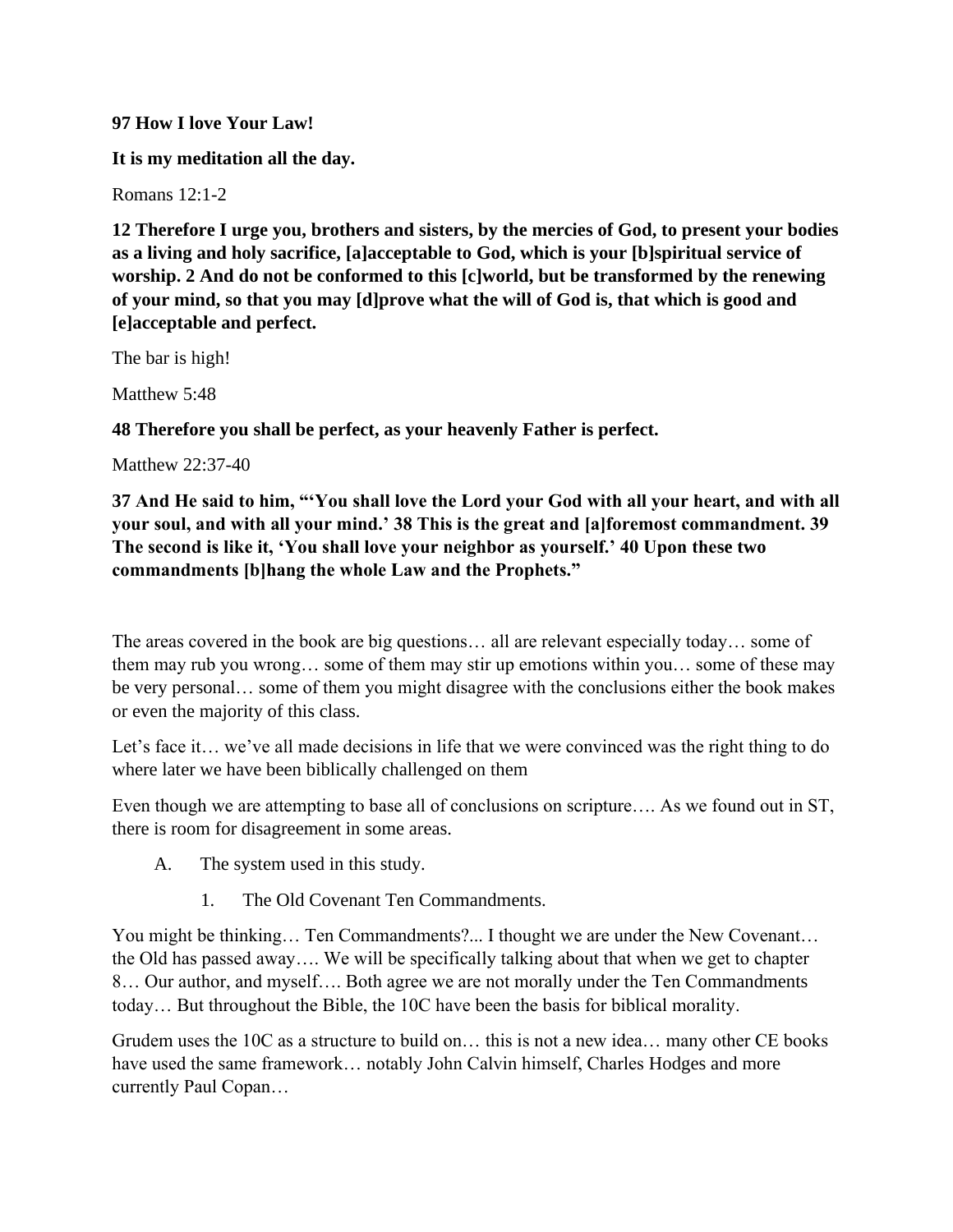#### **97 How I love Your Law!**

**It is my meditation all the day.**

Romans 12:1-2

**12 Therefore I urge you, brothers and sisters, by the mercies of God, to present your bodies as a living and holy sacrifice, [a]acceptable to God, which is your [b]spiritual service of worship. 2 And do not be conformed to this [c]world, but be transformed by the renewing of your mind, so that you may [d]prove what the will of God is, that which is good and [e]acceptable and perfect.**

The bar is high!

Matthew 5:48

**48 Therefore you shall be perfect, as your heavenly Father is perfect.**

Matthew 22:37-40

**37 And He said to him, "'You shall love the Lord your God with all your heart, and with all your soul, and with all your mind.' 38 This is the great and [a]foremost commandment. 39 The second is like it, 'You shall love your neighbor as yourself.' 40 Upon these two commandments [b]hang the whole Law and the Prophets."**

The areas covered in the book are big questions… all are relevant especially today… some of them may rub you wrong… some of them may stir up emotions within you… some of these may be very personal… some of them you might disagree with the conclusions either the book makes or even the majority of this class.

Let's face it... we've all made decisions in life that we were convinced was the right thing to do where later we have been biblically challenged on them

Even though we are attempting to base all of conclusions on scripture…. As we found out in ST, there is room for disagreement in some areas.

- A. The system used in this study.
	- 1. The Old Covenant Ten Commandments.

You might be thinking… Ten Commandments?... I thought we are under the New Covenant… the Old has passed away…. We will be specifically talking about that when we get to chapter 8… Our author, and myself…. Both agree we are not morally under the Ten Commandments today… But throughout the Bible, the 10C have been the basis for biblical morality.

Grudem uses the 10C as a structure to build on… this is not a new idea… many other CE books have used the same framework... notably John Calvin himself, Charles Hodges and more currently Paul Copan…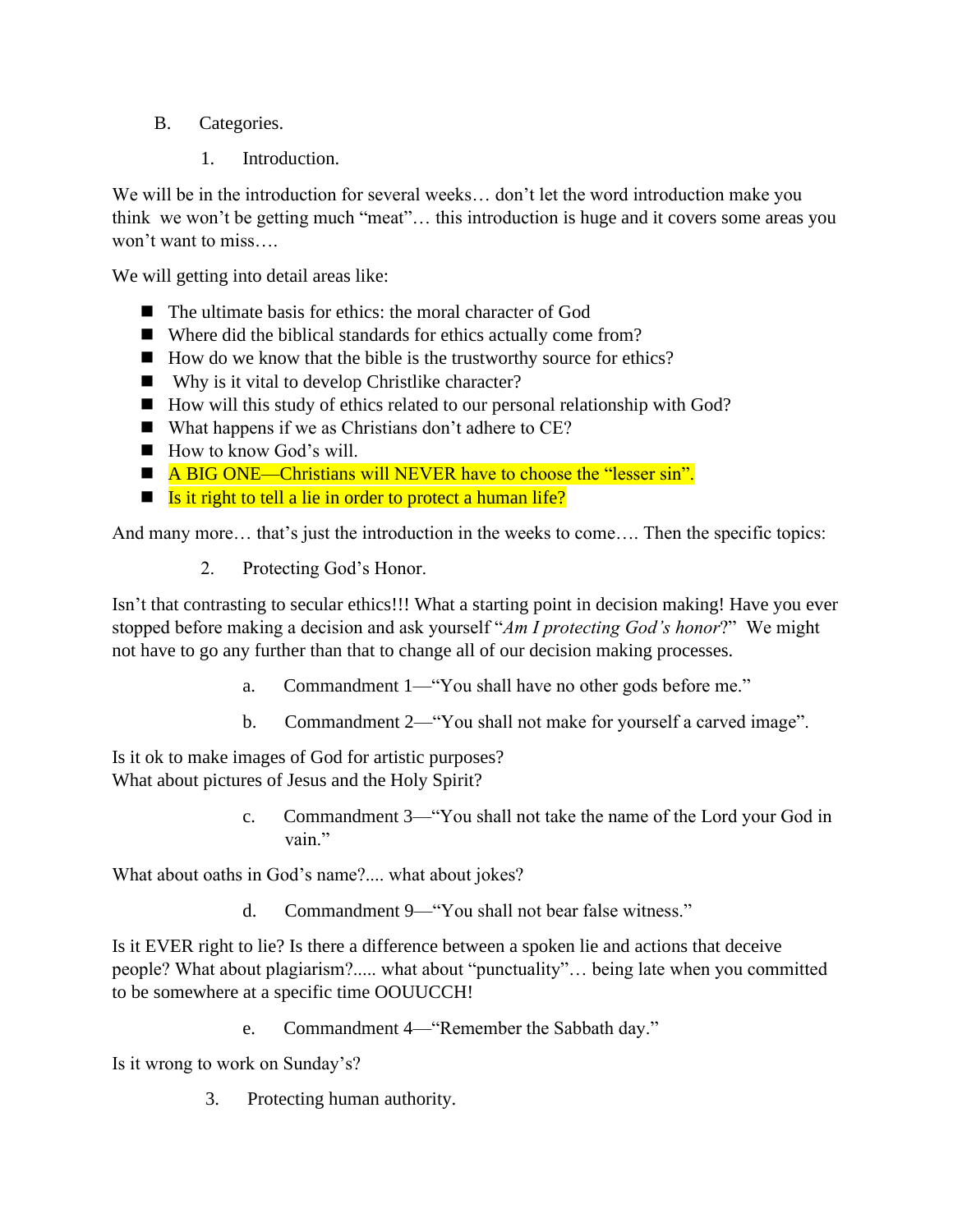- B. Categories.
	- 1. Introduction.

We will be in the introduction for several weeks… don't let the word introduction make you think we won't be getting much "meat"… this introduction is huge and it covers some areas you won't want to miss….

We will getting into detail areas like:

- The ultimate basis for ethics: the moral character of God
- Where did the biblical standards for ethics actually come from?
- How do we know that the bible is the trustworthy source for ethics?
- Why is it vital to develop Christlike character?
- How will this study of ethics related to our personal relationship with God?
- What happens if we as Christians don't adhere to CE?
- How to know God's will.
- A BIG ONE—Christians will NEVER have to choose the "lesser sin".
- $\blacksquare$  Is it right to tell a lie in order to protect a human life?

And many more… that's just the introduction in the weeks to come…. Then the specific topics:

2. Protecting God's Honor.

Isn't that contrasting to secular ethics!!! What a starting point in decision making! Have you ever stopped before making a decision and ask yourself "*Am I protecting God's honor*?" We might not have to go any further than that to change all of our decision making processes.

- a. Commandment 1—"You shall have no other gods before me."
- b. Commandment 2—"You shall not make for yourself a carved image".

Is it ok to make images of God for artistic purposes? What about pictures of Jesus and the Holy Spirit?

> c. Commandment 3—"You shall not take the name of the Lord your God in vain."

What about oaths in God's name?.... what about jokes?

d. Commandment 9—"You shall not bear false witness."

Is it EVER right to lie? Is there a difference between a spoken lie and actions that deceive people? What about plagiarism?..... what about "punctuality"… being late when you committed to be somewhere at a specific time OOUUCCH!

e. Commandment 4—"Remember the Sabbath day."

Is it wrong to work on Sunday's?

3. Protecting human authority.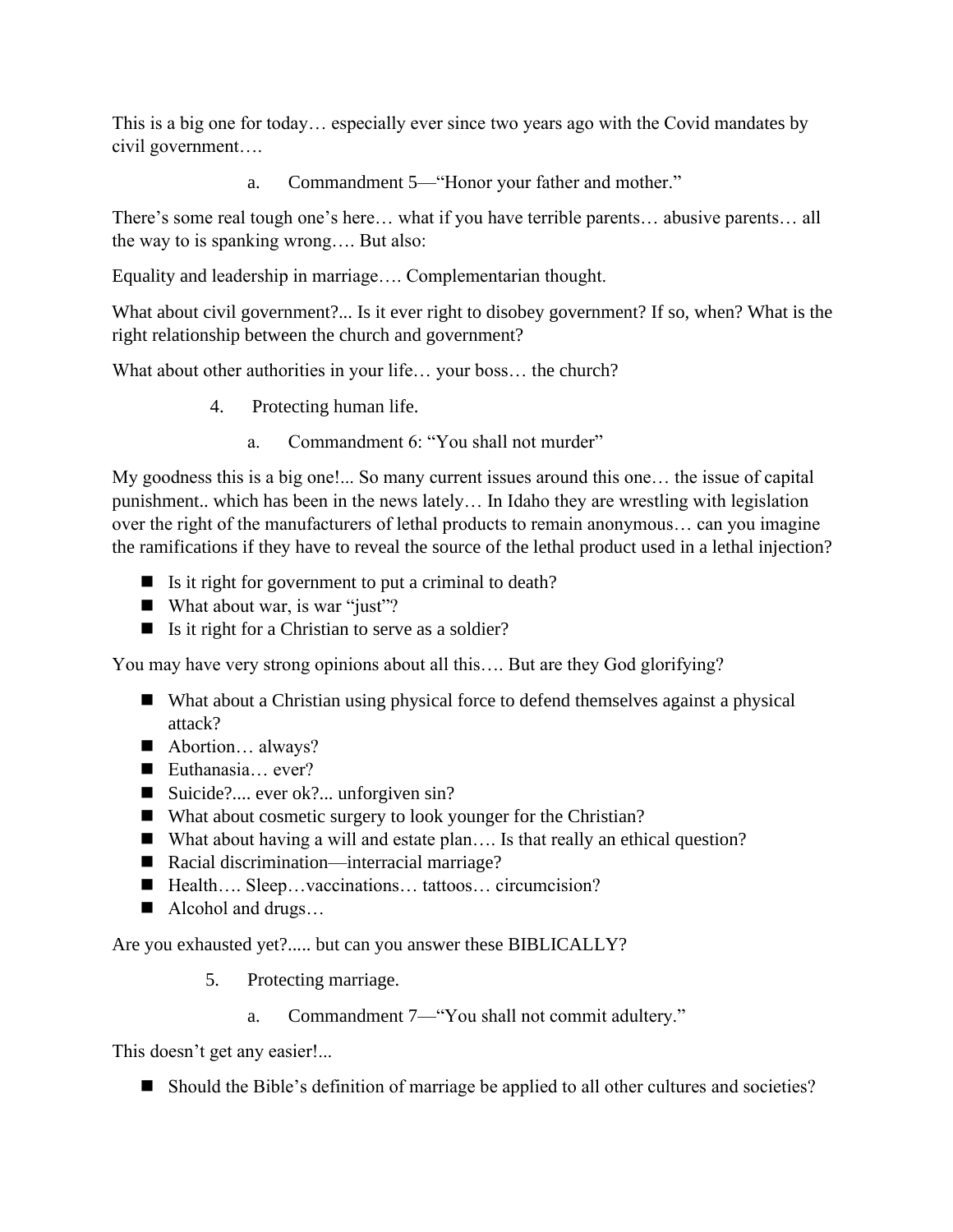This is a big one for today… especially ever since two years ago with the Covid mandates by civil government….

a. Commandment 5—"Honor your father and mother."

There's some real tough one's here… what if you have terrible parents… abusive parents… all the way to is spanking wrong…. But also:

Equality and leadership in marriage…. Complementarian thought.

What about civil government?... Is it ever right to disobey government? If so, when? What is the right relationship between the church and government?

What about other authorities in your life... your boss... the church?

- 4. Protecting human life.
	- a. Commandment 6: "You shall not murder"

My goodness this is a big one!... So many current issues around this one… the issue of capital punishment.. which has been in the news lately… In Idaho they are wrestling with legislation over the right of the manufacturers of lethal products to remain anonymous… can you imagine the ramifications if they have to reveal the source of the lethal product used in a lethal injection?

- $\blacksquare$  Is it right for government to put a criminal to death?
- What about war, is war "just"?
- $\blacksquare$  Is it right for a Christian to serve as a soldier?

You may have very strong opinions about all this…. But are they God glorifying?

- What about a Christian using physical force to defend themselves against a physical attack?
- Abortion... always?
- Euthanasia... ever?
- Suicide?.... ever ok?... unforgiven sin?
- What about cosmetic surgery to look younger for the Christian?
- What about having a will and estate plan.... Is that really an ethical question?
- Racial discrimination—interracial marriage?
- Health…. Sleep…vaccinations… tattoos… circumcision?
- Alcohol and drugs...

Are you exhausted yet?..... but can you answer these BIBLICALLY?

- 5. Protecting marriage.
	- a. Commandment 7—"You shall not commit adultery."

This doesn't get any easier!...

■ Should the Bible's definition of marriage be applied to all other cultures and societies?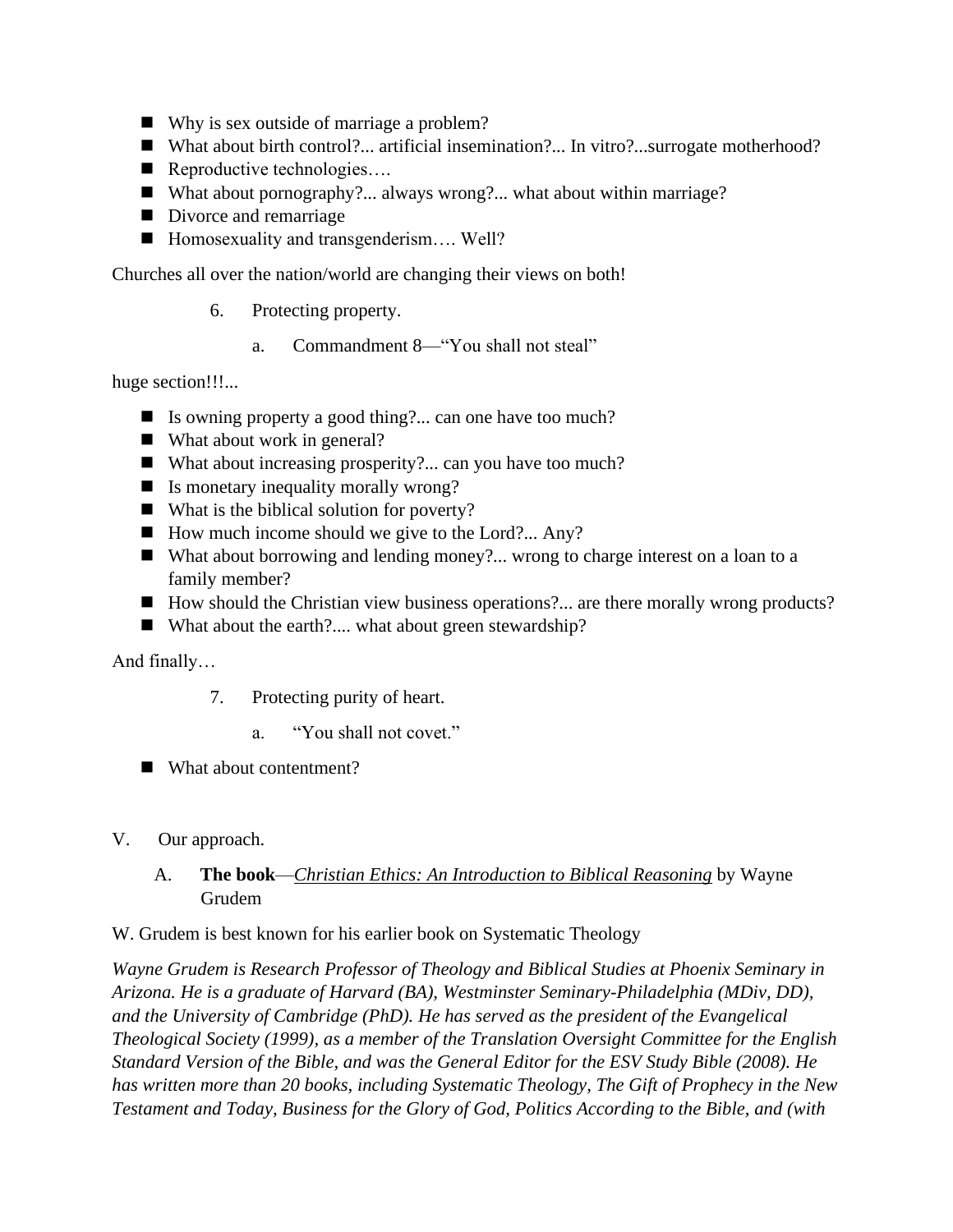- Why is sex outside of marriage a problem?
- What about birth control?... artificial insemination?... In vitro?...surrogate motherhood?
- Reproductive technologies....
- What about pornography?... always wrong?... what about within marriage?
- Divorce and remarriage
- Homosexuality and transgenderism.... Well?

Churches all over the nation/world are changing their views on both!

- 6. Protecting property.
	- a. Commandment 8—"You shall not steal"

huge section!!!...

- Is owning property a good thing?... can one have too much?
- What about work in general?
- $\blacksquare$  What about increasing prosperity?... can you have too much?
- Is monetary inequality morally wrong?
- What is the biblical solution for poverty?
- How much income should we give to the Lord?... Any?
- What about borrowing and lending money?... wrong to charge interest on a loan to a family member?
- How should the Christian view business operations?... are there morally wrong products?
- What about the earth?.... what about green stewardship?

And finally…

- 7. Protecting purity of heart.
	- a. "You shall not covet."
- What about contentment?
- V. Our approach.
	- A. **The book**—*Christian Ethics: An Introduction to Biblical Reasoning* by Wayne Grudem
- W. Grudem is best known for his earlier book on Systematic Theology

*Wayne Grudem is Research Professor of Theology and Biblical Studies at Phoenix Seminary in Arizona. He is a graduate of Harvard (BA), Westminster Seminary-Philadelphia (MDiv, DD), and the University of Cambridge (PhD). He has served as the president of the Evangelical Theological Society (1999), as a member of the Translation Oversight Committee for the English Standard Version of the Bible, and was the General Editor for the ESV Study Bible (2008). He has written more than 20 books, including Systematic Theology, The Gift of Prophecy in the New Testament and Today, Business for the Glory of God, Politics According to the Bible, and (with*